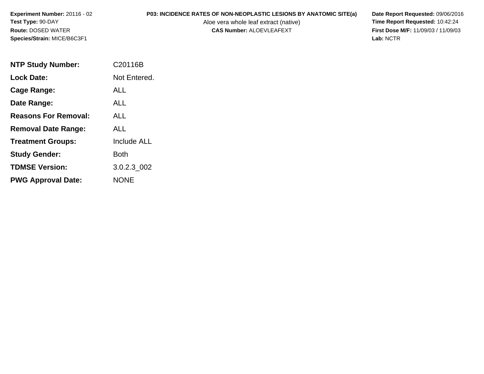# **P03: INCIDENCE RATES OF NON-NEOPLASTIC LESIONS BY ANATOMIC SITE(a) Date Report Requested: 09/06/2016<br>Aloe vera whole leaf extract (native) Time Report Requested: 10:42:24**

Aloe vera whole leaf extract (native)<br>**CAS Number:** ALOEVLEAFEXT

**First Dose M/F:** 11/09/03 / 11/09/03<br>Lab: NCTR **Lab:** NCTR

| <b>NTP Study Number:</b>    | C20116B            |  |
|-----------------------------|--------------------|--|
| <b>Lock Date:</b>           | Not Entered.       |  |
| Cage Range:                 | ALL.               |  |
| Date Range:                 | ALL                |  |
| <b>Reasons For Removal:</b> | ALL.               |  |
| <b>Removal Date Range:</b>  | AI I               |  |
| <b>Treatment Groups:</b>    | <b>Include ALL</b> |  |
| <b>Study Gender:</b>        | Both               |  |
| <b>TDMSE Version:</b>       | 3.0.2.3 002        |  |
| <b>PWG Approval Date:</b>   | NONE               |  |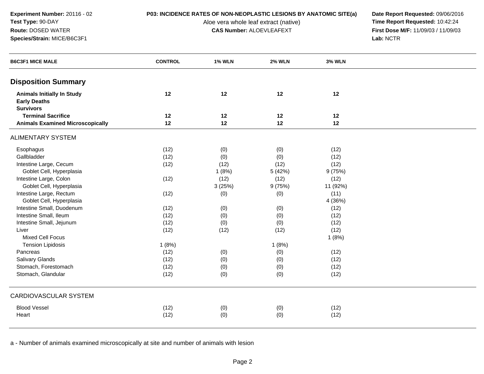**Experiment Number:** 20116 - 02**Test Type:** 90-DAY**Route:** DOSED WATER

**Species/Strain:** MICE/B6C3F1

## **P03: INCIDENCE RATES OF NON-NEOPLASTIC LESIONS BY ANATOMIC SITE(a) Date Report Requested: 09/06/2016<br>Aloe vera whole leaf extract (native) <b>Time Report Requested:** 10:42:24

Aloe vera whole leaf extract (native)<br>**CAS Number:** ALOEVLEAFEXT

**First Dose M/F:** 11/09/03 / 11/09/03<br>Lab: NCTR **Lab:** NCTR

| <b>B6C3F1 MICE MALE</b>                                                      | <b>CONTROL</b> | <b>1% WLN</b> | <b>2% WLN</b> | <b>3% WLN</b> |  |
|------------------------------------------------------------------------------|----------------|---------------|---------------|---------------|--|
| <b>Disposition Summary</b>                                                   |                |               |               |               |  |
| <b>Animals Initially In Study</b><br><b>Early Deaths</b><br><b>Survivors</b> | 12             | 12            | 12            | 12            |  |
| <b>Terminal Sacrifice</b>                                                    | 12             | 12            | 12            | 12            |  |
| <b>Animals Examined Microscopically</b>                                      | 12             | 12            | 12            | 12            |  |
| <b>ALIMENTARY SYSTEM</b>                                                     |                |               |               |               |  |
| Esophagus                                                                    | (12)           | (0)           | (0)           | (12)          |  |
| Gallbladder                                                                  | (12)           | (0)           | (0)           | (12)          |  |
| Intestine Large, Cecum                                                       | (12)           | (12)          | (12)          | (12)          |  |
| Goblet Cell, Hyperplasia                                                     |                | 1(8%)         | 5 (42%)       | 9(75%)        |  |
| Intestine Large, Colon                                                       | (12)           | (12)          | (12)          | (12)          |  |
| Goblet Cell, Hyperplasia                                                     |                | 3(25%)        | 9 (75%)       | 11 (92%)      |  |
| Intestine Large, Rectum                                                      | (12)           | (0)           | (0)           | (11)          |  |
| Goblet Cell, Hyperplasia                                                     |                |               |               | 4 (36%)       |  |
| Intestine Small, Duodenum                                                    | (12)           | (0)           | (0)           | (12)          |  |
| Intestine Small, Ileum                                                       | (12)           | (0)           | (0)           | (12)          |  |
| Intestine Small, Jejunum                                                     | (12)           | (0)           | (0)           | (12)          |  |
| Liver                                                                        | (12)           | (12)          | (12)          | (12)          |  |
| <b>Mixed Cell Focus</b>                                                      |                |               |               | 1(8%)         |  |
| <b>Tension Lipidosis</b>                                                     | 1(8%)          |               | 1(8%)         |               |  |
| Pancreas                                                                     | (12)           | (0)           | (0)           | (12)          |  |
| <b>Salivary Glands</b>                                                       | (12)           | (0)           | (0)           | (12)          |  |
| Stomach, Forestomach                                                         | (12)           | (0)           | (0)           | (12)          |  |
| Stomach, Glandular                                                           | (12)           | (0)           | (0)           | (12)          |  |
| <b>CARDIOVASCULAR SYSTEM</b>                                                 |                |               |               |               |  |
| <b>Blood Vessel</b>                                                          | (12)           | (0)           | (0)           | (12)          |  |
| Heart                                                                        | (12)           | (0)           | (0)           | (12)          |  |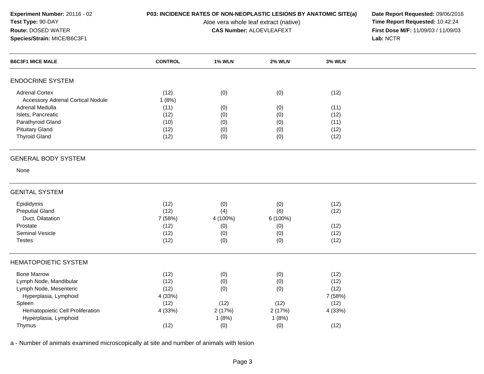### **P03: INCIDENCE RATES OF NON-NEOPLASTIC LESIONS BY ANATOMIC SITE(a) Date Report Requested: 09/06/2016<br>Aloe vera whole leaf extract (native) <b>Time Report Requested:** 10:42:24

Aloe vera whole leaf extract (native)<br>**CAS Number:** ALOEVLEAFEXT

**First Dose M/F:** 11/09/03 / 11/09/03<br>Lab: NCTR **Lab:** NCTR

| <b>B6C3F1 MICE MALE</b>                  | <b>CONTROL</b> | <b>1% WLN</b> | <b>2% WLN</b> | <b>3% WLN</b> |  |
|------------------------------------------|----------------|---------------|---------------|---------------|--|
| <b>ENDOCRINE SYSTEM</b>                  |                |               |               |               |  |
| <b>Adrenal Cortex</b>                    | (12)           | (0)           | (0)           | (12)          |  |
| <b>Accessory Adrenal Cortical Nodule</b> | 1(8%)          |               |               |               |  |
| Adrenal Medulla                          | (11)           | (0)           | (0)           | (11)          |  |
| Islets, Pancreatic                       | (12)           | (0)           | (0)           | (12)          |  |
| Parathyroid Gland                        | (10)           | (0)           | (0)           | (11)          |  |
| <b>Pituitary Gland</b>                   | (12)           | (0)           | (0)           | (12)          |  |
| <b>Thyroid Gland</b>                     | (12)           | (0)           | (0)           | (12)          |  |
| <b>GENERAL BODY SYSTEM</b>               |                |               |               |               |  |
| None                                     |                |               |               |               |  |
| <b>GENITAL SYSTEM</b>                    |                |               |               |               |  |
| Epididymis                               | (12)           | (0)           | (0)           | (12)          |  |
| <b>Preputial Gland</b>                   | (12)           | (4)           | (6)           | (12)          |  |
| Duct, Dilatation                         | 7 (58%)        | 4 (100%)      | 6 (100%)      |               |  |
| Prostate                                 | (12)           | (0)           | (0)           | (12)          |  |
| <b>Seminal Vesicle</b>                   | (12)           | (0)           | (0)           | (12)          |  |
| <b>Testes</b>                            | (12)           | (0)           | (0)           | (12)          |  |
| <b>HEMATOPOIETIC SYSTEM</b>              |                |               |               |               |  |
| <b>Bone Marrow</b>                       | (12)           | (0)           | (0)           | (12)          |  |
| Lymph Node, Mandibular                   | (12)           | (0)           | (0)           | (12)          |  |
| Lymph Node, Mesenteric                   | (12)           | (0)           | (0)           | (12)          |  |
| Hyperplasia, Lymphoid                    | 4 (33%)        |               |               | 7 (58%)       |  |
| Spleen                                   | (12)           | (12)          | (12)          | (12)          |  |
| Hematopoietic Cell Proliferation         | 4 (33%)        | 2(17%)        | 2(17%)        | 4 (33%)       |  |
| Hyperplasia, Lymphoid                    |                | 1(8%)         | 1(8%)         |               |  |
| Thymus                                   | (12)           | (0)           | (0)           | (12)          |  |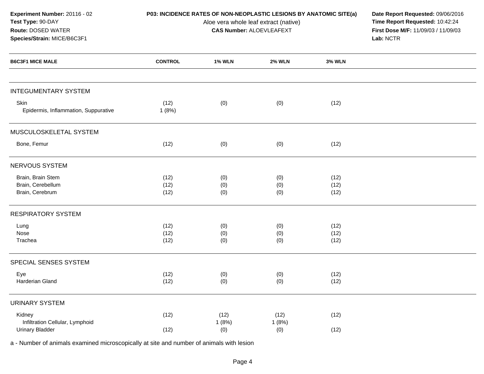| Experiment Number: 20116 - 02<br>Test Type: 90-DAY<br>Route: DOSED WATER<br>Species/Strain: MICE/B6C3F1 | P03: INCIDENCE RATES OF NON-NEOPLASTIC LESIONS BY ANATOMIC SITE(a) | Date Report Requested: 09/06/2016<br>Time Report Requested: 10:42:24<br>First Dose M/F: 11/09/03 / 11/09/03<br>Lab: NCTR |                      |                      |  |
|---------------------------------------------------------------------------------------------------------|--------------------------------------------------------------------|--------------------------------------------------------------------------------------------------------------------------|----------------------|----------------------|--|
| <b>B6C3F1 MICE MALE</b>                                                                                 | <b>CONTROL</b>                                                     | <b>1% WLN</b>                                                                                                            | <b>2% WLN</b>        | <b>3% WLN</b>        |  |
| <b>INTEGUMENTARY SYSTEM</b>                                                                             |                                                                    |                                                                                                                          |                      |                      |  |
| Skin<br>Epidermis, Inflammation, Suppurative                                                            | (12)<br>1(8%)                                                      | (0)                                                                                                                      | (0)                  | (12)                 |  |
| MUSCULOSKELETAL SYSTEM                                                                                  |                                                                    |                                                                                                                          |                      |                      |  |
| Bone, Femur                                                                                             | (12)                                                               | (0)                                                                                                                      | (0)                  | (12)                 |  |
| NERVOUS SYSTEM                                                                                          |                                                                    |                                                                                                                          |                      |                      |  |
| Brain, Brain Stem<br>Brain, Cerebellum<br>Brain, Cerebrum                                               | (12)<br>(12)<br>(12)                                               | (0)<br>(0)<br>(0)                                                                                                        | (0)<br>(0)<br>(0)    | (12)<br>(12)<br>(12) |  |
| <b>RESPIRATORY SYSTEM</b>                                                                               |                                                                    |                                                                                                                          |                      |                      |  |
| Lung<br>Nose<br>Trachea                                                                                 | (12)<br>(12)<br>(12)                                               | (0)<br>(0)<br>(0)                                                                                                        | (0)<br>(0)<br>(0)    | (12)<br>(12)<br>(12) |  |
| SPECIAL SENSES SYSTEM                                                                                   |                                                                    |                                                                                                                          |                      |                      |  |
| Eye<br>Harderian Gland                                                                                  | (12)<br>(12)                                                       | (0)<br>(0)                                                                                                               | (0)<br>(0)           | (12)<br>(12)         |  |
| <b>URINARY SYSTEM</b>                                                                                   |                                                                    |                                                                                                                          |                      |                      |  |
| Kidney<br>Infiltration Cellular, Lymphoid<br><b>Urinary Bladder</b>                                     | (12)<br>(12)                                                       | (12)<br>1(8%)<br>(0)                                                                                                     | (12)<br>1(8%)<br>(0) | (12)<br>(12)         |  |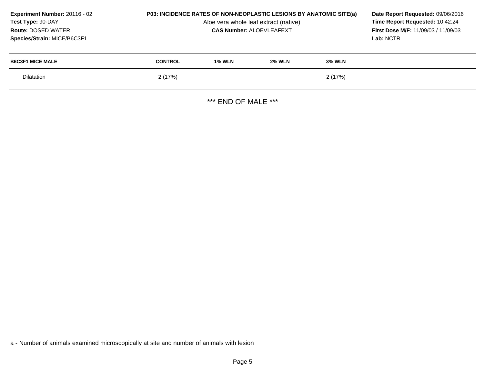| Experiment Number: 20116 - 02<br>Test Type: 90-DAY<br><b>Route: DOSED WATER</b><br>Species/Strain: MICE/B6C3F1 | <b>P03: INCIDENCE RATES OF NON-NEOPLASTIC LESIONS BY ANATOMIC SITE(a)</b> | Date Report Requested: 09/06/2016<br>Time Report Requested: 10:42:24<br><b>First Dose M/F: 11/09/03 / 11/09/03</b><br>Lab: NCTR |               |               |  |
|----------------------------------------------------------------------------------------------------------------|---------------------------------------------------------------------------|---------------------------------------------------------------------------------------------------------------------------------|---------------|---------------|--|
| <b>B6C3F1 MICE MALE</b>                                                                                        | <b>CONTROL</b>                                                            | <b>1% WLN</b>                                                                                                                   | <b>2% WLN</b> | <b>3% WLN</b> |  |
| <b>Dilatation</b>                                                                                              | 2 (17%)                                                                   |                                                                                                                                 |               | 2(17%)        |  |
|                                                                                                                |                                                                           |                                                                                                                                 |               |               |  |

\*\*\* END OF MALE \*\*\*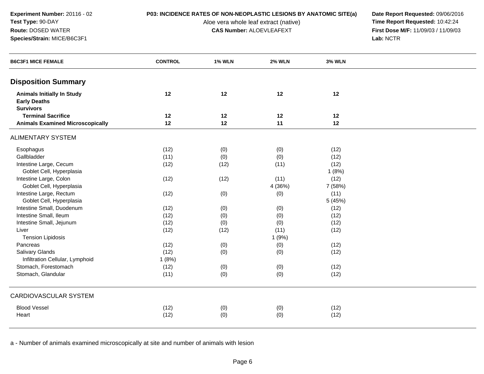**Experiment Number:** 20116 - 02**Test Type:** 90-DAY**Route:** DOSED WATER

**Species/Strain:** MICE/B6C3F1

### **P03: INCIDENCE RATES OF NON-NEOPLASTIC LESIONS BY ANATOMIC SITE(a) Date Report Requested: 09/06/2016<br>Aloe vera whole leaf extract (native) <b>Time Report Requested:** 10:42:24

Aloe vera whole leaf extract (native)<br>**CAS Number:** ALOEVLEAFEXT

**First Dose M/F:** 11/09/03 / 11/09/03<br>Lab: NCTR **Lab:** NCTR

| <b>B6C3F1 MICE FEMALE</b>                                                    | <b>CONTROL</b> | <b>1% WLN</b> | <b>2% WLN</b> | <b>3% WLN</b> |  |
|------------------------------------------------------------------------------|----------------|---------------|---------------|---------------|--|
| <b>Disposition Summary</b>                                                   |                |               |               |               |  |
| <b>Animals Initially In Study</b><br><b>Early Deaths</b><br><b>Survivors</b> | 12             | 12            | 12            | 12            |  |
| <b>Terminal Sacrifice</b>                                                    | 12             | 12            | 12            | 12            |  |
| <b>Animals Examined Microscopically</b>                                      | 12             | 12            | 11            | 12            |  |
| <b>ALIMENTARY SYSTEM</b>                                                     |                |               |               |               |  |
| Esophagus                                                                    | (12)           | (0)           | (0)           | (12)          |  |
| Gallbladder                                                                  | (11)           | (0)           | (0)           | (12)          |  |
| Intestine Large, Cecum                                                       | (12)           | (12)          | (11)          | (12)          |  |
| Goblet Cell, Hyperplasia                                                     |                |               |               | 1(8%)         |  |
| Intestine Large, Colon                                                       | (12)           | (12)          | (11)          | (12)          |  |
| Goblet Cell, Hyperplasia                                                     |                |               | 4 (36%)       | 7 (58%)       |  |
| Intestine Large, Rectum                                                      | (12)           | (0)           | (0)           | (11)          |  |
| Goblet Cell, Hyperplasia                                                     |                |               |               | 5 (45%)       |  |
| Intestine Small, Duodenum                                                    | (12)           | (0)           | (0)           | (12)          |  |
| Intestine Small, Ileum                                                       | (12)           | (0)           | (0)           | (12)          |  |
| Intestine Small, Jejunum                                                     | (12)           | (0)           | (0)           | (12)          |  |
| Liver                                                                        | (12)           | (12)          | (11)          | (12)          |  |
| <b>Tension Lipidosis</b>                                                     |                |               | 1(9%)         |               |  |
| Pancreas                                                                     | (12)           | (0)           | (0)           | (12)          |  |
| Salivary Glands                                                              | (12)           | (0)           | (0)           | (12)          |  |
| Infiltration Cellular, Lymphoid                                              | 1(8%)          |               |               |               |  |
| Stomach, Forestomach                                                         | (12)           | (0)           | (0)           | (12)          |  |
| Stomach, Glandular                                                           | (11)           | (0)           | (0)           | (12)          |  |
| <b>CARDIOVASCULAR SYSTEM</b>                                                 |                |               |               |               |  |
| <b>Blood Vessel</b>                                                          | (12)           | (0)           | (0)           | (12)          |  |
| Heart                                                                        | (12)           | (0)           | (0)           | (12)          |  |
|                                                                              |                |               |               |               |  |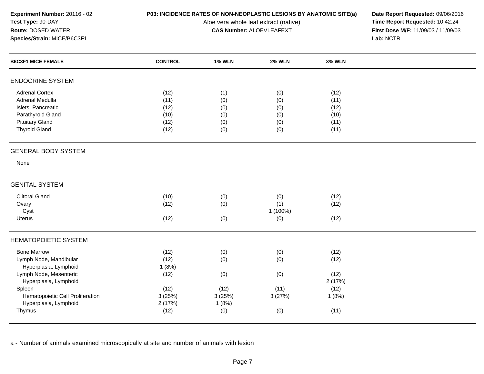## **P03: INCIDENCE RATES OF NON-NEOPLASTIC LESIONS BY ANATOMIC SITE(a) Date Report Requested: 09/06/2016<br>Aloe vera whole leaf extract (native) <b>Time Report Requested:** 10:42:24

Aloe vera whole leaf extract (native)<br>**CAS Number:** ALOEVLEAFEXT

**First Dose M/F:** 11/09/03 / 11/09/03<br>Lab: NCTR **Lab:** NCTR

| <b>ENDOCRINE SYSTEM</b><br><b>Adrenal Cortex</b><br>(12)<br>(1)<br>(12)<br>(0)<br>Adrenal Medulla<br>(11)<br>(0)<br>(11)<br>(0)<br>Islets, Pancreatic<br>(12)<br>(0)<br>(0)<br>(12)<br>Parathyroid Gland<br>(10)<br>(0)<br>(0)<br>(10)<br><b>Pituitary Gland</b><br>(12)<br>(0)<br>(0)<br>(11)<br><b>Thyroid Gland</b><br>(12)<br>(0)<br>(0)<br>(11)<br><b>GENERAL BODY SYSTEM</b><br>None<br><b>GENITAL SYSTEM</b><br><b>Clitoral Gland</b><br>(10)<br>(12)<br>(0)<br>(0)<br>(1)<br>Ovary<br>(12)<br>(0)<br>(12)<br>1 (100%)<br>Cyst<br>(12)<br>(12)<br>Uterus<br>(0)<br>(0)<br><b>HEMATOPOIETIC SYSTEM</b><br><b>Bone Marrow</b><br>(12)<br>(0)<br>(0)<br>(12)<br>Lymph Node, Mandibular<br>(12)<br>(0)<br>(0)<br>(12)<br>Hyperplasia, Lymphoid<br>1(8%)<br>Lymph Node, Mesenteric<br>(12)<br>(12)<br>(0)<br>(0)<br>Hyperplasia, Lymphoid<br>2(17%)<br>(12)<br>(12)<br>(11)<br>(12)<br>Spleen<br>Hematopoietic Cell Proliferation<br>3(25%)<br>3(27%)<br>3(25%)<br>1(8%)<br>Hyperplasia, Lymphoid<br>2(17%)<br>1(8%)<br>(12)<br>(0)<br>(0)<br>(11)<br>Thymus | <b>B6C3F1 MICE FEMALE</b> | <b>CONTROL</b> | <b>1% WLN</b> | <b>2% WLN</b> | <b>3% WLN</b> |  |
|----------------------------------------------------------------------------------------------------------------------------------------------------------------------------------------------------------------------------------------------------------------------------------------------------------------------------------------------------------------------------------------------------------------------------------------------------------------------------------------------------------------------------------------------------------------------------------------------------------------------------------------------------------------------------------------------------------------------------------------------------------------------------------------------------------------------------------------------------------------------------------------------------------------------------------------------------------------------------------------------------------------------------------------------------------------|---------------------------|----------------|---------------|---------------|---------------|--|
|                                                                                                                                                                                                                                                                                                                                                                                                                                                                                                                                                                                                                                                                                                                                                                                                                                                                                                                                                                                                                                                                |                           |                |               |               |               |  |
|                                                                                                                                                                                                                                                                                                                                                                                                                                                                                                                                                                                                                                                                                                                                                                                                                                                                                                                                                                                                                                                                |                           |                |               |               |               |  |
|                                                                                                                                                                                                                                                                                                                                                                                                                                                                                                                                                                                                                                                                                                                                                                                                                                                                                                                                                                                                                                                                |                           |                |               |               |               |  |
|                                                                                                                                                                                                                                                                                                                                                                                                                                                                                                                                                                                                                                                                                                                                                                                                                                                                                                                                                                                                                                                                |                           |                |               |               |               |  |
|                                                                                                                                                                                                                                                                                                                                                                                                                                                                                                                                                                                                                                                                                                                                                                                                                                                                                                                                                                                                                                                                |                           |                |               |               |               |  |
|                                                                                                                                                                                                                                                                                                                                                                                                                                                                                                                                                                                                                                                                                                                                                                                                                                                                                                                                                                                                                                                                |                           |                |               |               |               |  |
|                                                                                                                                                                                                                                                                                                                                                                                                                                                                                                                                                                                                                                                                                                                                                                                                                                                                                                                                                                                                                                                                |                           |                |               |               |               |  |
|                                                                                                                                                                                                                                                                                                                                                                                                                                                                                                                                                                                                                                                                                                                                                                                                                                                                                                                                                                                                                                                                |                           |                |               |               |               |  |
|                                                                                                                                                                                                                                                                                                                                                                                                                                                                                                                                                                                                                                                                                                                                                                                                                                                                                                                                                                                                                                                                |                           |                |               |               |               |  |
|                                                                                                                                                                                                                                                                                                                                                                                                                                                                                                                                                                                                                                                                                                                                                                                                                                                                                                                                                                                                                                                                |                           |                |               |               |               |  |
|                                                                                                                                                                                                                                                                                                                                                                                                                                                                                                                                                                                                                                                                                                                                                                                                                                                                                                                                                                                                                                                                |                           |                |               |               |               |  |
|                                                                                                                                                                                                                                                                                                                                                                                                                                                                                                                                                                                                                                                                                                                                                                                                                                                                                                                                                                                                                                                                |                           |                |               |               |               |  |
|                                                                                                                                                                                                                                                                                                                                                                                                                                                                                                                                                                                                                                                                                                                                                                                                                                                                                                                                                                                                                                                                |                           |                |               |               |               |  |
|                                                                                                                                                                                                                                                                                                                                                                                                                                                                                                                                                                                                                                                                                                                                                                                                                                                                                                                                                                                                                                                                |                           |                |               |               |               |  |
|                                                                                                                                                                                                                                                                                                                                                                                                                                                                                                                                                                                                                                                                                                                                                                                                                                                                                                                                                                                                                                                                |                           |                |               |               |               |  |
|                                                                                                                                                                                                                                                                                                                                                                                                                                                                                                                                                                                                                                                                                                                                                                                                                                                                                                                                                                                                                                                                |                           |                |               |               |               |  |
|                                                                                                                                                                                                                                                                                                                                                                                                                                                                                                                                                                                                                                                                                                                                                                                                                                                                                                                                                                                                                                                                |                           |                |               |               |               |  |
|                                                                                                                                                                                                                                                                                                                                                                                                                                                                                                                                                                                                                                                                                                                                                                                                                                                                                                                                                                                                                                                                |                           |                |               |               |               |  |
|                                                                                                                                                                                                                                                                                                                                                                                                                                                                                                                                                                                                                                                                                                                                                                                                                                                                                                                                                                                                                                                                |                           |                |               |               |               |  |
|                                                                                                                                                                                                                                                                                                                                                                                                                                                                                                                                                                                                                                                                                                                                                                                                                                                                                                                                                                                                                                                                |                           |                |               |               |               |  |
|                                                                                                                                                                                                                                                                                                                                                                                                                                                                                                                                                                                                                                                                                                                                                                                                                                                                                                                                                                                                                                                                |                           |                |               |               |               |  |
|                                                                                                                                                                                                                                                                                                                                                                                                                                                                                                                                                                                                                                                                                                                                                                                                                                                                                                                                                                                                                                                                |                           |                |               |               |               |  |
|                                                                                                                                                                                                                                                                                                                                                                                                                                                                                                                                                                                                                                                                                                                                                                                                                                                                                                                                                                                                                                                                |                           |                |               |               |               |  |
|                                                                                                                                                                                                                                                                                                                                                                                                                                                                                                                                                                                                                                                                                                                                                                                                                                                                                                                                                                                                                                                                |                           |                |               |               |               |  |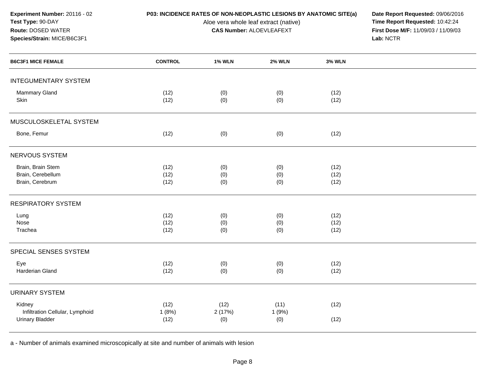## **P03: INCIDENCE RATES OF NON-NEOPLASTIC LESIONS BY ANATOMIC SITE(a) Date Report Requested: 09/06/2016<br>Aloe vera whole leaf extract (native) <b>Time Report Requested:** 10:42:24

Aloe vera whole leaf extract (native)<br>**CAS Number:** ALOEVLEAFEXT

**First Dose M/F:** 11/09/03 / 11/09/03<br>Lab: NCTR **Lab:** NCTR

| <b>B6C3F1 MICE FEMALE</b>                                           | <b>CONTROL</b>        | <b>1% WLN</b>         | <b>2% WLN</b>        | <b>3% WLN</b>        |  |
|---------------------------------------------------------------------|-----------------------|-----------------------|----------------------|----------------------|--|
| <b>INTEGUMENTARY SYSTEM</b>                                         |                       |                       |                      |                      |  |
| <b>Mammary Gland</b><br>Skin                                        | (12)<br>(12)          | (0)<br>(0)            | (0)<br>(0)           | (12)<br>(12)         |  |
| MUSCULOSKELETAL SYSTEM                                              |                       |                       |                      |                      |  |
| Bone, Femur                                                         | (12)                  | (0)                   | (0)                  | (12)                 |  |
| <b>NERVOUS SYSTEM</b>                                               |                       |                       |                      |                      |  |
| Brain, Brain Stem<br>Brain, Cerebellum<br>Brain, Cerebrum           | (12)<br>(12)<br>(12)  | (0)<br>(0)<br>(0)     | (0)<br>(0)<br>(0)    | (12)<br>(12)<br>(12) |  |
| <b>RESPIRATORY SYSTEM</b>                                           |                       |                       |                      |                      |  |
| Lung<br>Nose<br>Trachea                                             | (12)<br>(12)<br>(12)  | (0)<br>(0)<br>(0)     | (0)<br>(0)<br>(0)    | (12)<br>(12)<br>(12) |  |
| SPECIAL SENSES SYSTEM                                               |                       |                       |                      |                      |  |
| Eye<br>Harderian Gland                                              | (12)<br>(12)          | (0)<br>(0)            | (0)<br>(0)           | (12)<br>(12)         |  |
| <b>URINARY SYSTEM</b>                                               |                       |                       |                      |                      |  |
| Kidney<br>Infiltration Cellular, Lymphoid<br><b>Urinary Bladder</b> | (12)<br>1(8%)<br>(12) | (12)<br>2(17%)<br>(0) | (11)<br>1(9%)<br>(0) | (12)<br>(12)         |  |